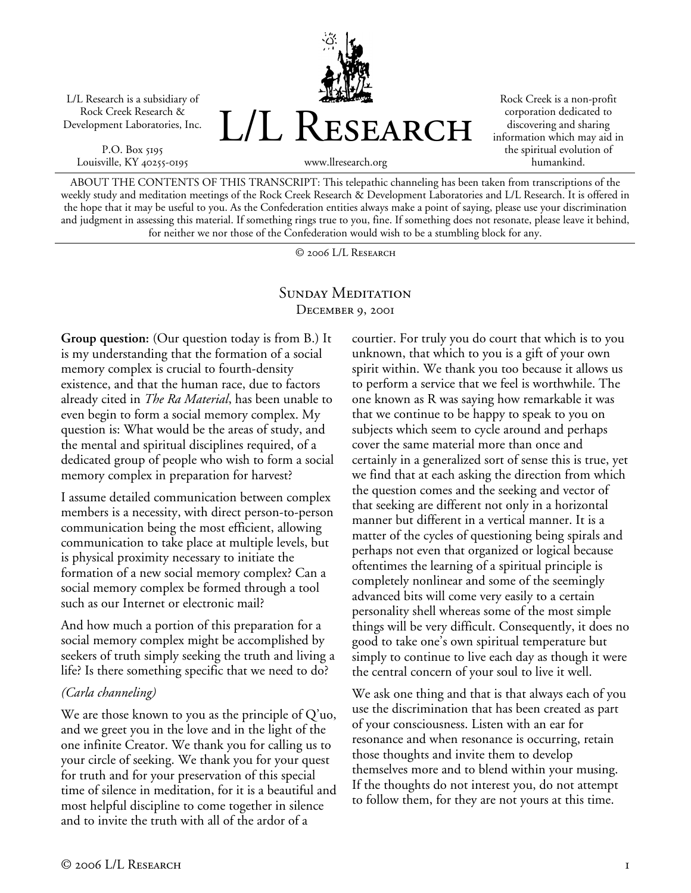L/L Research is a subsidiary of Rock Creek Research & Development Laboratories, Inc.

P.O. Box 5195 Louisville, KY 40255-0195



Rock Creek is a non-profit corporation dedicated to discovering and sharing information which may aid in the spiritual evolution of humankind.

ABOUT THE CONTENTS OF THIS TRANSCRIPT: This telepathic channeling has been taken from transcriptions of the weekly study and meditation meetings of the Rock Creek Research & Development Laboratories and L/L Research. It is offered in the hope that it may be useful to you. As the Confederation entities always make a point of saying, please use your discrimination and judgment in assessing this material. If something rings true to you, fine. If something does not resonate, please leave it behind, for neither we nor those of the Confederation would wish to be a stumbling block for any.

© 2006 L/L Research

## SUNDAY MEDITATION December 9, 2001

**Group question:** (Our question today is from B.) It is my understanding that the formation of a social memory complex is crucial to fourth-density existence, and that the human race, due to factors already cited in *The Ra Material*, has been unable to even begin to form a social memory complex. My question is: What would be the areas of study, and the mental and spiritual disciplines required, of a dedicated group of people who wish to form a social memory complex in preparation for harvest?

I assume detailed communication between complex members is a necessity, with direct person-to-person communication being the most efficient, allowing communication to take place at multiple levels, but is physical proximity necessary to initiate the formation of a new social memory complex? Can a social memory complex be formed through a tool such as our Internet or electronic mail?

And how much a portion of this preparation for a social memory complex might be accomplished by seekers of truth simply seeking the truth and living a life? Is there something specific that we need to do?

## *(Carla channeling)*

We are those known to you as the principle of  $Q'$ uo, and we greet you in the love and in the light of the one infinite Creator. We thank you for calling us to your circle of seeking. We thank you for your quest for truth and for your preservation of this special time of silence in meditation, for it is a beautiful and most helpful discipline to come together in silence and to invite the truth with all of the ardor of a

courtier. For truly you do court that which is to you unknown, that which to you is a gift of your own spirit within. We thank you too because it allows us to perform a service that we feel is worthwhile. The one known as R was saying how remarkable it was that we continue to be happy to speak to you on subjects which seem to cycle around and perhaps cover the same material more than once and certainly in a generalized sort of sense this is true, yet we find that at each asking the direction from which the question comes and the seeking and vector of that seeking are different not only in a horizontal manner but different in a vertical manner. It is a matter of the cycles of questioning being spirals and perhaps not even that organized or logical because oftentimes the learning of a spiritual principle is completely nonlinear and some of the seemingly advanced bits will come very easily to a certain personality shell whereas some of the most simple things will be very difficult. Consequently, it does no good to take one's own spiritual temperature but simply to continue to live each day as though it were the central concern of your soul to live it well.

We ask one thing and that is that always each of you use the discrimination that has been created as part of your consciousness. Listen with an ear for resonance and when resonance is occurring, retain those thoughts and invite them to develop themselves more and to blend within your musing. If the thoughts do not interest you, do not attempt to follow them, for they are not yours at this time.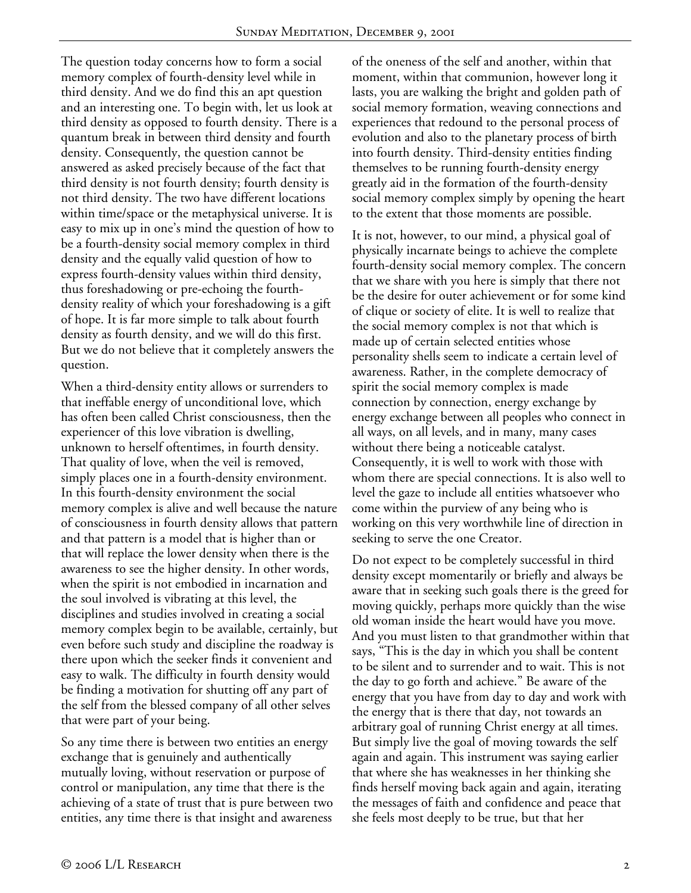The question today concerns how to form a social memory complex of fourth-density level while in third density. And we do find this an apt question and an interesting one. To begin with, let us look at third density as opposed to fourth density. There is a quantum break in between third density and fourth density. Consequently, the question cannot be answered as asked precisely because of the fact that third density is not fourth density; fourth density is not third density. The two have different locations within time/space or the metaphysical universe. It is easy to mix up in one's mind the question of how to be a fourth-density social memory complex in third density and the equally valid question of how to express fourth-density values within third density, thus foreshadowing or pre-echoing the fourthdensity reality of which your foreshadowing is a gift of hope. It is far more simple to talk about fourth density as fourth density, and we will do this first. But we do not believe that it completely answers the question.

When a third-density entity allows or surrenders to that ineffable energy of unconditional love, which has often been called Christ consciousness, then the experiencer of this love vibration is dwelling, unknown to herself oftentimes, in fourth density. That quality of love, when the veil is removed, simply places one in a fourth-density environment. In this fourth-density environment the social memory complex is alive and well because the nature of consciousness in fourth density allows that pattern and that pattern is a model that is higher than or that will replace the lower density when there is the awareness to see the higher density. In other words, when the spirit is not embodied in incarnation and the soul involved is vibrating at this level, the disciplines and studies involved in creating a social memory complex begin to be available, certainly, but even before such study and discipline the roadway is there upon which the seeker finds it convenient and easy to walk. The difficulty in fourth density would be finding a motivation for shutting off any part of the self from the blessed company of all other selves that were part of your being.

So any time there is between two entities an energy exchange that is genuinely and authentically mutually loving, without reservation or purpose of control or manipulation, any time that there is the achieving of a state of trust that is pure between two entities, any time there is that insight and awareness

of the oneness of the self and another, within that moment, within that communion, however long it lasts, you are walking the bright and golden path of social memory formation, weaving connections and experiences that redound to the personal process of evolution and also to the planetary process of birth into fourth density. Third-density entities finding themselves to be running fourth-density energy greatly aid in the formation of the fourth-density social memory complex simply by opening the heart to the extent that those moments are possible.

It is not, however, to our mind, a physical goal of physically incarnate beings to achieve the complete fourth-density social memory complex. The concern that we share with you here is simply that there not be the desire for outer achievement or for some kind of clique or society of elite. It is well to realize that the social memory complex is not that which is made up of certain selected entities whose personality shells seem to indicate a certain level of awareness. Rather, in the complete democracy of spirit the social memory complex is made connection by connection, energy exchange by energy exchange between all peoples who connect in all ways, on all levels, and in many, many cases without there being a noticeable catalyst. Consequently, it is well to work with those with whom there are special connections. It is also well to level the gaze to include all entities whatsoever who come within the purview of any being who is working on this very worthwhile line of direction in seeking to serve the one Creator.

Do not expect to be completely successful in third density except momentarily or briefly and always be aware that in seeking such goals there is the greed for moving quickly, perhaps more quickly than the wise old woman inside the heart would have you move. And you must listen to that grandmother within that says, "This is the day in which you shall be content to be silent and to surrender and to wait. This is not the day to go forth and achieve." Be aware of the energy that you have from day to day and work with the energy that is there that day, not towards an arbitrary goal of running Christ energy at all times. But simply live the goal of moving towards the self again and again. This instrument was saying earlier that where she has weaknesses in her thinking she finds herself moving back again and again, iterating the messages of faith and confidence and peace that she feels most deeply to be true, but that her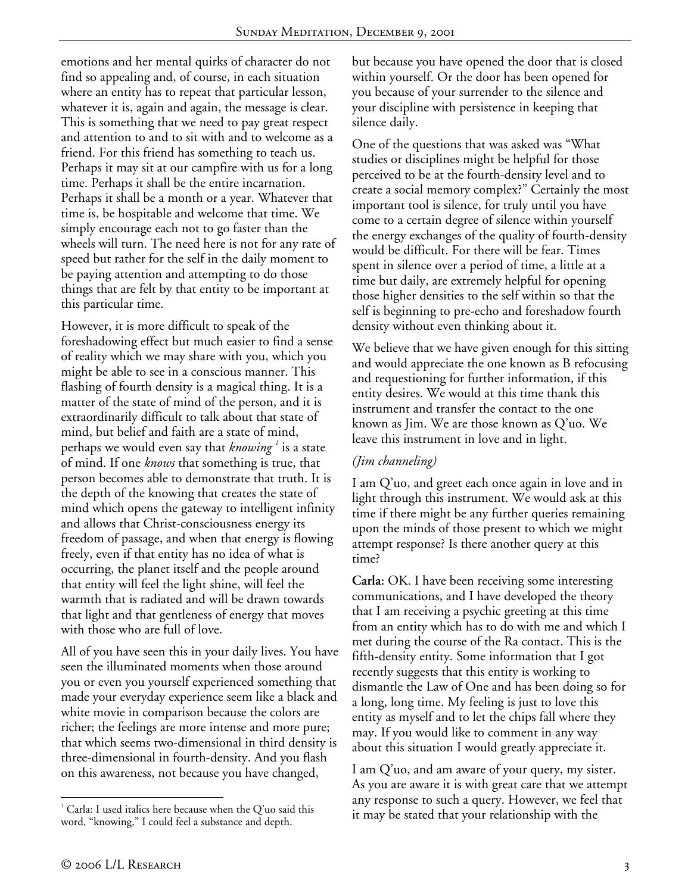emotions and her mental quirks of character do not find so appealing and, of course, in each situation where an entity has to repeat that particular lesson, whatever it is, again and again, the message is clear. This is something that we need to pay great respect and attention to and to sit with and to welcome as a friend. For this friend has something to teach us. Perhaps it may sit at our campfire with us for a long time. Perhaps it shall be the entire incarnation. Perhaps it shall be a month or a year. Whatever that time is, be hospitable and welcome that time. We simply encourage each not to go faster than the wheels will turn. The need here is not for any rate of speed but rather for the self in the daily moment to be paying attention and attempting to do those things that are felt by that entity to be important at this particular time.

However, it is more difficult to speak of the foreshadowing effect but much easier to find a sense of reality which we may share with you, which you might be able to see in a conscious manner. This flashing of fourth density is a magical thing. It is a matter of the state of mind of the person, and it is extraordinarily difficult to talk about that state of mind, but belief and faith are a state of mind, perhaps we would even say that *knowing <sup>1</sup>* is a state of mind. If one *knows* that something is true, that person becomes able to demonstrate that truth. It is the depth of the knowing that creates the state of mind which opens the gateway to intelligent infinity and allows that Christ-consciousness energy its freedom of passage, and when that energy is flowing freely, even if that entity has no idea of what is occurring, the planet itself and the people around that entity will feel the light shine, will feel the warmth that is radiated and will be drawn towards that light and that gentleness of energy that moves with those who are full of love.

All of you have seen this in your daily lives. You have seen the illuminated moments when those around you or even you yourself experienced something that made your everyday experience seem like a black and white movie in comparison because the colors are richer; the feelings are more intense and more pure; that which seems two-dimensional in third density is three-dimensional in fourth-density. And you flash on this awareness, not because you have changed,

but because you have opened the door that is closed within yourself. Or the door has been opened for you because of your surrender to the silence and your discipline with persistence in keeping that silence daily.

One of the questions that was asked was "What studies or disciplines might be helpful for those perceived to be at the fourth-density level and to create a social memory complex?" Certainly the most important tool is silence, for truly until you have come to a certain degree of silence within yourself the energy exchanges of the quality of fourth-density would be difficult. For there will be fear. Times spent in silence over a period of time, a little at a time but daily, are extremely helpful for opening those higher densities to the self within so that the self is beginning to pre-echo and foreshadow fourth density without even thinking about it.

We believe that we have given enough for this sitting and would appreciate the one known as B refocusing and requestioning for further information, if this entity desires. We would at this time thank this instrument and transfer the contact to the one known as Jim. We are those known as Q'uo. We leave this instrument in love and in light.

## *(Jim channeling)*

I am Q'uo, and greet each once again in love and in light through this instrument. We would ask at this time if there might be any further queries remaining upon the minds of those present to which we might attempt response? Is there another query at this time?

**Carla:** OK. I have been receiving some interesting communications, and I have developed the theory that I am receiving a psychic greeting at this time from an entity which has to do with me and which I met during the course of the Ra contact. This is the fifth-density entity. Some information that I got recently suggests that this entity is working to dismantle the Law of One and has been doing so for a long, long time. My feeling is just to love this entity as myself and to let the chips fall where they may. If you would like to comment in any way about this situation I would greatly appreciate it.

I am Q'uo, and am aware of your query, my sister. As you are aware it is with great care that we attempt any response to such a query. However, we feel that it may be stated that your relationship with the

 $\overline{a}$ 

 $1$  Carla: I used italics here because when the Q'uo said this word, "knowing," I could feel a substance and depth.